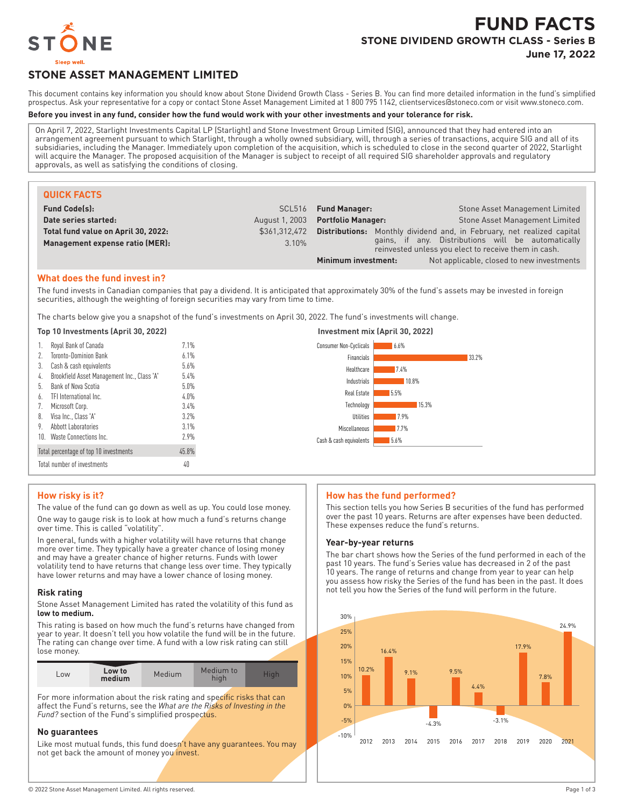

# **FUND FACTS STONE DIVIDEND GROWTH CLASS - Series B June 17, 2022**

# **STONE ASSET MANAGEMENT LIMITED**

This document contains key information you should know about Stone Dividend Growth Class - Series B. You can find more detailed information in the fund's simplified prospectus. Ask your representative for a copy or contact Stone Asset Management Limited at 1 800 795 1142, clientservices@stoneco.com or visit www.stoneco.com.

#### **Before you invest in any fund, consider how the fund would work with your other investments and your tolerance for risk.**

On April 7, 2022, Starlight Investments Capital LP (Starlight) and Stone Investment Group Limited (SIG), announced that they had entered into an arrangement agreement pursuant to which Starlight, through a wholly owned subsidiary, will, through a series of transactions, acquire SIG and all of its subsidiaries, including the Manager. Immediately upon completion of the acquisition, which is scheduled to close in the second quarter of 2022, Starlight will acquire the Manager. The proposed acquisition of the Manager is subject to receipt of all required SIG shareholder approvals and regulatory approvals, as well as satisfying the conditions of closing.

| <b>QUICK FACTS</b>                  |                |                           |                                                                                                            |
|-------------------------------------|----------------|---------------------------|------------------------------------------------------------------------------------------------------------|
| <b>Fund Code(s):</b>                |                | SCL516 Fund Manager:      | Stone Asset Management Limited                                                                             |
| Date series started:                | August 1, 2003 | <b>Portfolio Manager:</b> | <b>Stone Asset Management Limited</b>                                                                      |
| Total fund value on April 30, 2022: | \$361.312.472  | Distributions:            | Monthly dividend and, in February, net realized capital                                                    |
| Management expense ratio (MER):     | 3.10%          |                           | gains, if any. Distributions will be automatically<br>reinvested unless you elect to receive them in cash. |
|                                     |                | Minimum investment:       | Not applicable, closed to new investments                                                                  |

### **What does the fund invest in?**

The fund invests in Canadian companies that pay a dividend. It is anticipated that approximately 30% of the fund's assets may be invested in foreign securities, although the weighting of foreign securities may vary from time to time.

The charts below give you a snapshot of the fund's investments on April 30, 2022. The fund's investments will change.

#### **Top 10 Investments (April 30, 2022) Investment mix (April 30, 2022)**

|     | Royal Bank of Canada                        | 7.1%    | <b>Consumer Non-Cyclicals</b><br>6.6% |
|-----|---------------------------------------------|---------|---------------------------------------|
| 2.  | <b>Toronto-Dominion Bank</b>                | 6.1%    | Financials<br>33.2%                   |
| 3.  | Cash & cash equivalents                     | 5.6%    | Healthcare<br>7.4%                    |
| 4.  | Brookfield Asset Management Inc., Class 'A' | 5.4%    | Industrials<br>10.8%                  |
|     | Bank of Nova Scotia                         | $5.0\%$ |                                       |
| 6.  | TFI International Inc.                      | $4.0\%$ | Real Estate<br>5.5%                   |
|     | Microsoft Corp.                             | 3.4%    | Technology<br>15.3%                   |
| 8.  | Visa Inc., Class 'A'                        | 3.2%    | <b>Utilities</b><br>7.9%              |
| 9.  | Abbott Laboratories                         | 3.1%    | Miscellaneous<br>17.7%                |
| 10. | Waste Connections Inc.                      | 2.9%    | 5.6%<br>Cash & cash equivalents       |
|     | Total percentage of top 10 investments      | 45.8%   |                                       |
|     | Total number of investments                 | 40      |                                       |

#### **How risky is it?**

The value of the fund can go down as well as up. You could lose money. One way to gauge risk is to look at how much a fund's returns change over time. This is called "volatility".

In general, funds with a higher volatility will have returns that change more over time. They typically have a greater chance of losing money and may have a greater chance of higher returns. Funds with lower volatility tend to have returns that change less over time. They typically have lower returns and may have a lower chance of losing money.

#### **Risk rating**

Stone Asset Management Limited has rated the volatility of this fund as **low to medium.**

This rating is based on how much the fund's returns have changed from year to year. It doesn't tell you how volatile the fund will be in the future. The rating can change over time. A fund with a low risk rating can still lose money.

| LOW | Low to<br>medium | Medium | Medium to<br>high | lial |
|-----|------------------|--------|-------------------|------|

For more information about the risk rating and specific risks that can affect the Fund's returns, see the *What are the Risks of Investing in the Fund?* section of the Fund's simplified prospectus.

#### **No guarantees**

Like most mutual funds, this fund doesn't have any guarantees. You may not get back the amount of money you invest.

#### **How has the fund performed?**

This section tells you how Series B securities of the fund has performed over the past 10 years. Returns are after expenses have been deducted. These expenses reduce the fund's returns.

#### **Year-by-year returns**

The bar chart shows how the Series of the fund performed in each of the past 10 years. The fund's Series value has decreased in 2 of the past 10 years. The range of returns and change from year to year can help you assess how risky the Series of the fund has been in the past. It does not tell you how the Series of the fund will perform in the future.

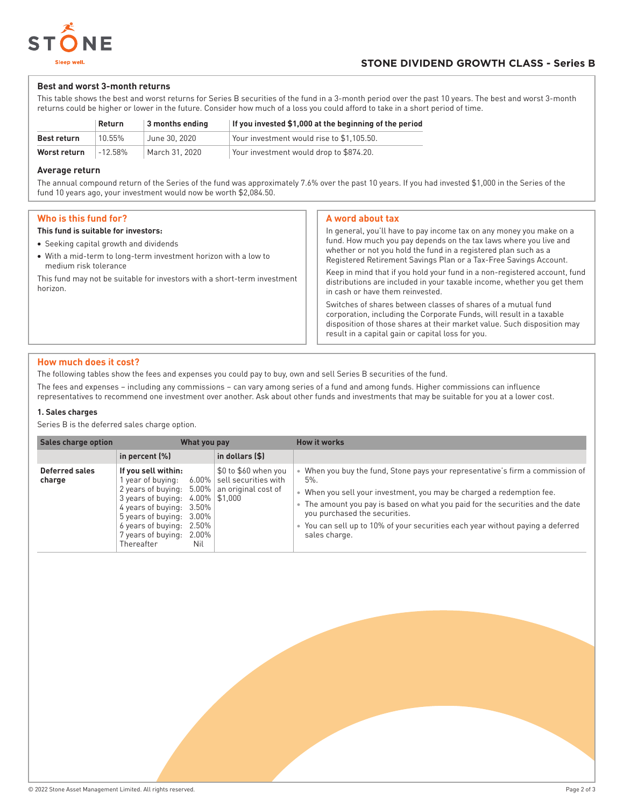

### **Best and worst 3-month returns**

This table shows the best and worst returns for Series B securities of the fund in a 3-month period over the past 10 years. The best and worst 3-month returns could be higher or lower in the future. Consider how much of a loss you could afford to take in a short period of time.

|                    | Return     | 3 months ending | If you invested \$1,000 at the beginning of the period |
|--------------------|------------|-----------------|--------------------------------------------------------|
| <b>Best return</b> | 10.55%     | June 30, 2020   | Your investment would rise to \$1,105.50.              |
| Worst return       | $-12.58\%$ | March 31, 2020  | Your investment would drop to \$874.20.                |

#### **Average return**

The annual compound return of the Series of the fund was approximately 7.6% over the past 10 years. If you had invested \$1,000 in the Series of the fund 10 years ago, your investment would now be worth \$2,084.50.

## **Who is this fund for?**

#### **This fund is suitable for investors:**

- Seeking capital growth and dividends
- With a mid-term to long-term investment horizon with a low to medium risk tolerance

This fund may not be suitable for investors with a short-term investment horizon.

#### **A word about tax**

In general, you'll have to pay income tax on any money you make on a fund. How much you pay depends on the tax laws where you live and whether or not you hold the fund in a registered plan such as a Registered Retirement Savings Plan or a Tax-Free Savings Account. Keep in mind that if you hold your fund in a non-registered account, fund distributions are included in your taxable income, whether you get them in cash or have them reinvested.

Switches of shares between classes of shares of a mutual fund corporation, including the Corporate Funds, will result in a taxable disposition of those shares at their market value. Such disposition may result in a capital gain or capital loss for you.

## **How much does it cost?**

The following tables show the fees and expenses you could pay to buy, own and sell Series B securities of the fund.

The fees and expenses – including any commissions – can vary among series of a fund and among funds. Higher commissions can influence representatives to recommend one investment over another. Ask about other funds and investments that may be suitable for you at a lower cost.

#### **1. Sales charges**

Series B is the deferred sales charge option.

| <b>Sales charge option</b> | What you pay                                                                                                                                                                                                                                                                                              |                      | <b>How it works</b>                                                                                                                                                                                                                                                                                                                                                           |
|----------------------------|-----------------------------------------------------------------------------------------------------------------------------------------------------------------------------------------------------------------------------------------------------------------------------------------------------------|----------------------|-------------------------------------------------------------------------------------------------------------------------------------------------------------------------------------------------------------------------------------------------------------------------------------------------------------------------------------------------------------------------------|
|                            | in percent $(\%)$                                                                                                                                                                                                                                                                                         | in dollars (\$)      |                                                                                                                                                                                                                                                                                                                                                                               |
| Deferred sales<br>charge   | If you sell within:<br>year of buying: $6.00\%$ sell securities with<br>2 years of buying: $5.00\%$ an original cost of<br>3 years of buying: $4.00\%$ \$1,000<br>4 years of buying: 3.50%<br>5 years of buying: 3.00%<br>6 years of buying:<br>2.50%<br>7 years of buying:<br>2.00%<br>Thereafter<br>Nil | \$0 to \$60 when you | When you buy the fund, Stone pays your representative's firm a commission of<br>5%.<br>When you sell your investment, you may be charged a redemption fee.<br>The amount you pay is based on what you paid for the securities and the date<br>you purchased the securities.<br>You can sell up to 10% of your securities each year without paying a deferred<br>sales charge. |